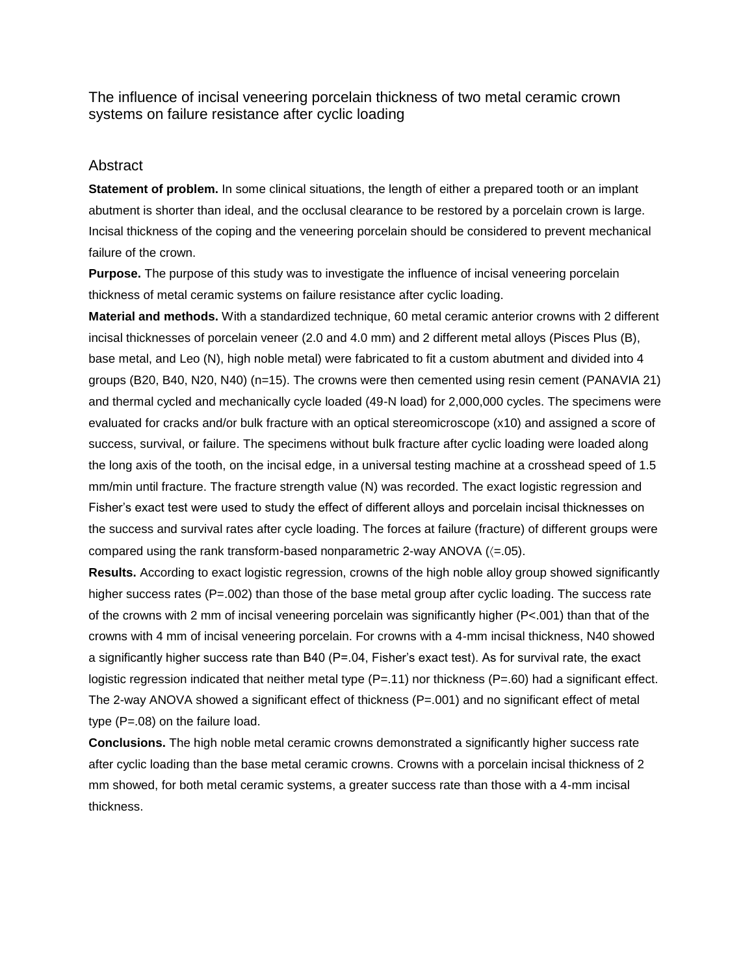The influence of incisal veneering porcelain thickness of two metal ceramic crown systems on failure resistance after cyclic loading

## **Abstract**

**Statement of problem.** In some clinical situations, the length of either a prepared tooth or an implant abutment is shorter than ideal, and the occlusal clearance to be restored by a porcelain crown is large. Incisal thickness of the coping and the veneering porcelain should be considered to prevent mechanical failure of the crown.

**Purpose.** The purpose of this study was to investigate the influence of incisal veneering porcelain thickness of metal ceramic systems on failure resistance after cyclic loading.

**Material and methods.** With a standardized technique, 60 metal ceramic anterior crowns with 2 different incisal thicknesses of porcelain veneer (2.0 and 4.0 mm) and 2 different metal alloys (Pisces Plus (B), base metal, and Leo (N), high noble metal) were fabricated to fit a custom abutment and divided into 4 groups (B20, B40, N20, N40) (n=15). The crowns were then cemented using resin cement (PANAVIA 21) and thermal cycled and mechanically cycle loaded (49-N load) for 2,000,000 cycles. The specimens were evaluated for cracks and/or bulk fracture with an optical stereomicroscope (x10) and assigned a score of success, survival, or failure. The specimens without bulk fracture after cyclic loading were loaded along the long axis of the tooth, on the incisal edge, in a universal testing machine at a crosshead speed of 1.5 mm/min until fracture. The fracture strength value (N) was recorded. The exact logistic regression and Fisher's exact test were used to study the effect of different alloys and porcelain incisal thicknesses on the success and survival rates after cycle loading. The forces at failure (fracture) of different groups were compared using the rank transform-based nonparametric 2-way ANOVA  $(<= 05)$ .

**Results.** According to exact logistic regression, crowns of the high noble alloy group showed significantly higher success rates (P=.002) than those of the base metal group after cyclic loading. The success rate of the crowns with 2 mm of incisal veneering porcelain was significantly higher (P<.001) than that of the crowns with 4 mm of incisal veneering porcelain. For crowns with a 4-mm incisal thickness, N40 showed a significantly higher success rate than B40 (P=.04, Fisher's exact test). As for survival rate, the exact logistic regression indicated that neither metal type  $(P=.11)$  nor thickness  $(P=.60)$  had a significant effect. The 2-way ANOVA showed a significant effect of thickness  $(P=.001)$  and no significant effect of metal type (P=.08) on the failure load.

**Conclusions.** The high noble metal ceramic crowns demonstrated a significantly higher success rate after cyclic loading than the base metal ceramic crowns. Crowns with a porcelain incisal thickness of 2 mm showed, for both metal ceramic systems, a greater success rate than those with a 4-mm incisal thickness.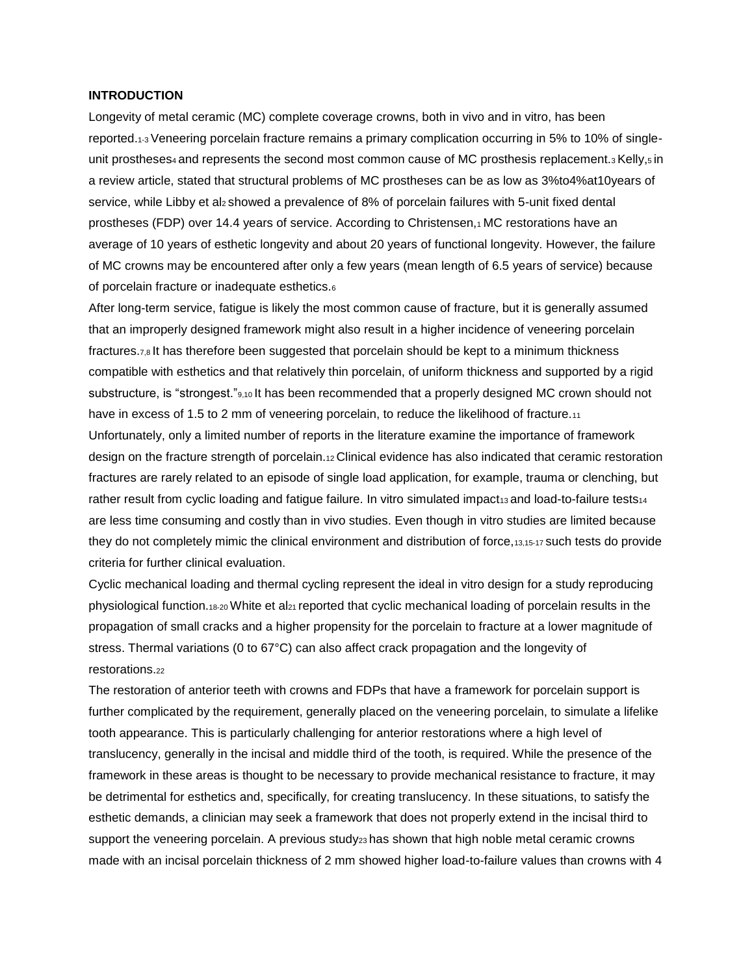#### **INTRODUCTION**

Longevity of metal ceramic (MC) complete coverage crowns, both in vivo and in vitro, has been reported.1-3 Veneering porcelain fracture remains a primary complication occurring in 5% to 10% of singleunit prostheses<sub>4</sub> and represents the second most common cause of MC prosthesis replacement. $\frac{1}{3}$  Kelly, $\frac{1}{5}$  in a review article, stated that structural problems of MC prostheses can be as low as 3%to4%at10years of service, while Libby et alz showed a prevalence of 8% of porcelain failures with 5-unit fixed dental prostheses (FDP) over 14.4 years of service. According to Christensen,1 MC restorations have an average of 10 years of esthetic longevity and about 20 years of functional longevity. However, the failure of MC crowns may be encountered after only a few years (mean length of 6.5 years of service) because of porcelain fracture or inadequate esthetics.<sup>6</sup>

After long-term service, fatigue is likely the most common cause of fracture, but it is generally assumed that an improperly designed framework might also result in a higher incidence of veneering porcelain fractures.7,8 It has therefore been suggested that porcelain should be kept to a minimum thickness compatible with esthetics and that relatively thin porcelain, of uniform thickness and supported by a rigid substructure, is "strongest."<sup>9,10</sup> It has been recommended that a properly designed MC crown should not have in excess of 1.5 to 2 mm of veneering porcelain, to reduce the likelihood of fracture.11 Unfortunately, only a limited number of reports in the literature examine the importance of framework design on the fracture strength of porcelain.12 Clinical evidence has also indicated that ceramic restoration fractures are rarely related to an episode of single load application, for example, trauma or clenching, but rather result from cyclic loading and fatigue failure. In vitro simulated impact<sub>13</sub> and load-to-failure tests<sub>14</sub> are less time consuming and costly than in vivo studies. Even though in vitro studies are limited because they do not completely mimic the clinical environment and distribution of force, 13,15-17 such tests do provide criteria for further clinical evaluation.

Cyclic mechanical loading and thermal cycling represent the ideal in vitro design for a study reproducing physiological function.18-20 White et al21 reported that cyclic mechanical loading of porcelain results in the propagation of small cracks and a higher propensity for the porcelain to fracture at a lower magnitude of stress. Thermal variations (0 to 67°C) can also affect crack propagation and the longevity of restorations.<sup>22</sup>

The restoration of anterior teeth with crowns and FDPs that have a framework for porcelain support is further complicated by the requirement, generally placed on the veneering porcelain, to simulate a lifelike tooth appearance. This is particularly challenging for anterior restorations where a high level of translucency, generally in the incisal and middle third of the tooth, is required. While the presence of the framework in these areas is thought to be necessary to provide mechanical resistance to fracture, it may be detrimental for esthetics and, specifically, for creating translucency. In these situations, to satisfy the esthetic demands, a clinician may seek a framework that does not properly extend in the incisal third to support the veneering porcelain. A previous study<sub>23</sub> has shown that high noble metal ceramic crowns made with an incisal porcelain thickness of 2 mm showed higher load-to-failure values than crowns with 4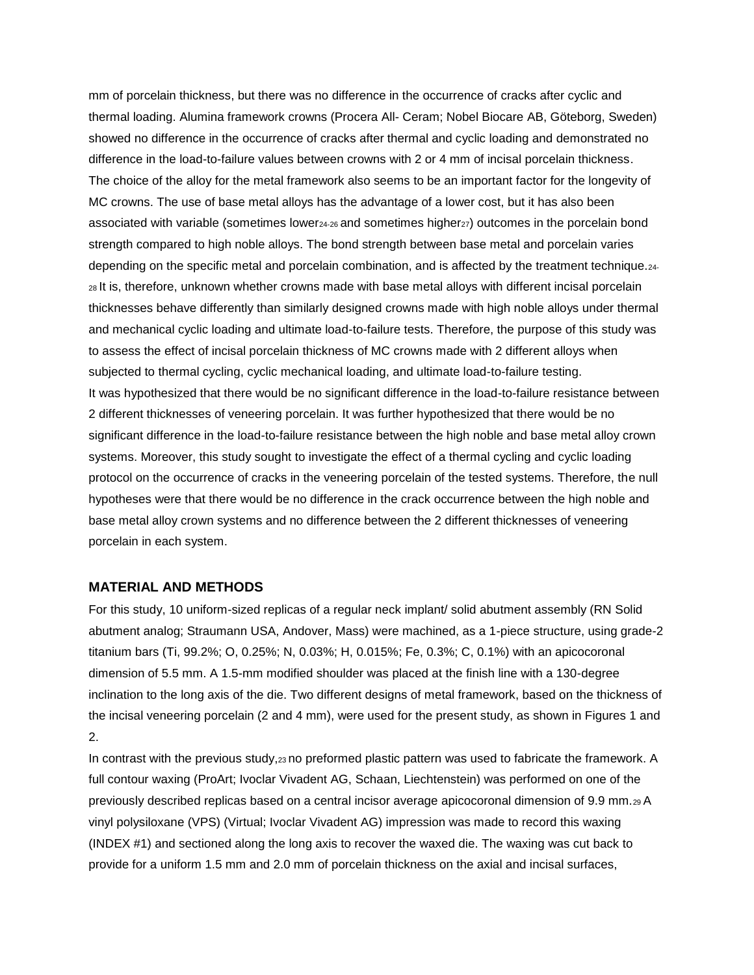mm of porcelain thickness, but there was no difference in the occurrence of cracks after cyclic and thermal loading. Alumina framework crowns (Procera All- Ceram; Nobel Biocare AB, Göteborg, Sweden) showed no difference in the occurrence of cracks after thermal and cyclic loading and demonstrated no difference in the load-to-failure values between crowns with 2 or 4 mm of incisal porcelain thickness. The choice of the alloy for the metal framework also seems to be an important factor for the longevity of MC crowns. The use of base metal alloys has the advantage of a lower cost, but it has also been associated with variable (sometimes lower<sub>24-26</sub> and sometimes higher<sub>27</sub>) outcomes in the porcelain bond strength compared to high noble alloys. The bond strength between base metal and porcelain varies depending on the specific metal and porcelain combination, and is affected by the treatment technique.24- <sup>28</sup>It is, therefore, unknown whether crowns made with base metal alloys with different incisal porcelain thicknesses behave differently than similarly designed crowns made with high noble alloys under thermal and mechanical cyclic loading and ultimate load-to-failure tests. Therefore, the purpose of this study was to assess the effect of incisal porcelain thickness of MC crowns made with 2 different alloys when subjected to thermal cycling, cyclic mechanical loading, and ultimate load-to-failure testing. It was hypothesized that there would be no significant difference in the load-to-failure resistance between 2 different thicknesses of veneering porcelain. It was further hypothesized that there would be no significant difference in the load-to-failure resistance between the high noble and base metal alloy crown systems. Moreover, this study sought to investigate the effect of a thermal cycling and cyclic loading protocol on the occurrence of cracks in the veneering porcelain of the tested systems. Therefore, the null hypotheses were that there would be no difference in the crack occurrence between the high noble and base metal alloy crown systems and no difference between the 2 different thicknesses of veneering porcelain in each system.

## **MATERIAL AND METHODS**

For this study, 10 uniform-sized replicas of a regular neck implant/ solid abutment assembly (RN Solid abutment analog; Straumann USA, Andover, Mass) were machined, as a 1-piece structure, using grade-2 titanium bars (Ti, 99.2%; O, 0.25%; N, 0.03%; H, 0.015%; Fe, 0.3%; C, 0.1%) with an apicocoronal dimension of 5.5 mm. A 1.5-mm modified shoulder was placed at the finish line with a 130-degree inclination to the long axis of the die. Two different designs of metal framework, based on the thickness of the incisal veneering porcelain (2 and 4 mm), were used for the present study, as shown in Figures 1 and 2.

In contrast with the previous study,23 no preformed plastic pattern was used to fabricate the framework. A full contour waxing (ProArt; Ivoclar Vivadent AG, Schaan, Liechtenstein) was performed on one of the previously described replicas based on a central incisor average apicocoronal dimension of 9.9 mm.29 A vinyl polysiloxane (VPS) (Virtual; Ivoclar Vivadent AG) impression was made to record this waxing (INDEX #1) and sectioned along the long axis to recover the waxed die. The waxing was cut back to provide for a uniform 1.5 mm and 2.0 mm of porcelain thickness on the axial and incisal surfaces,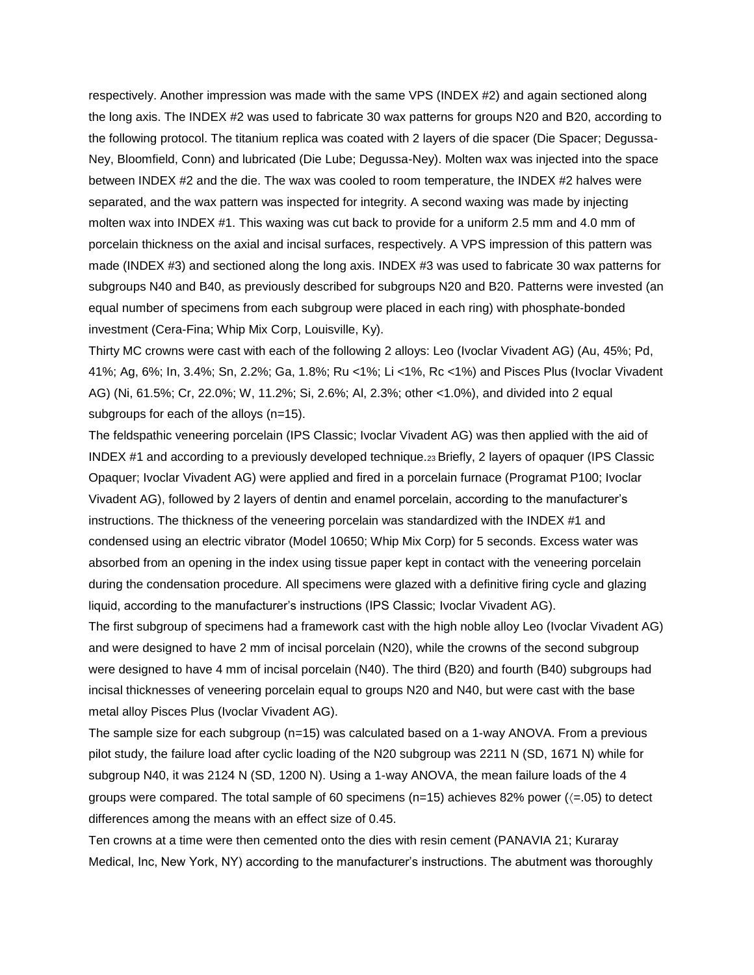respectively. Another impression was made with the same VPS (INDEX #2) and again sectioned along the long axis. The INDEX #2 was used to fabricate 30 wax patterns for groups N20 and B20, according to the following protocol. The titanium replica was coated with 2 layers of die spacer (Die Spacer; Degussa-Ney, Bloomfield, Conn) and lubricated (Die Lube; Degussa-Ney). Molten wax was injected into the space between INDEX #2 and the die. The wax was cooled to room temperature, the INDEX #2 halves were separated, and the wax pattern was inspected for integrity. A second waxing was made by injecting molten wax into INDEX #1. This waxing was cut back to provide for a uniform 2.5 mm and 4.0 mm of porcelain thickness on the axial and incisal surfaces, respectively. A VPS impression of this pattern was made (INDEX #3) and sectioned along the long axis. INDEX #3 was used to fabricate 30 wax patterns for subgroups N40 and B40, as previously described for subgroups N20 and B20. Patterns were invested (an equal number of specimens from each subgroup were placed in each ring) with phosphate-bonded investment (Cera-Fina; Whip Mix Corp, Louisville, Ky).

Thirty MC crowns were cast with each of the following 2 alloys: Leo (Ivoclar Vivadent AG) (Au, 45%; Pd, 41%; Ag, 6%; In, 3.4%; Sn, 2.2%; Ga, 1.8%; Ru <1%; Li <1%, Rc <1%) and Pisces Plus (Ivoclar Vivadent AG) (Ni, 61.5%; Cr, 22.0%; W, 11.2%; Si, 2.6%; Al, 2.3%; other <1.0%), and divided into 2 equal subgroups for each of the alloys (n=15).

The feldspathic veneering porcelain (IPS Classic; Ivoclar Vivadent AG) was then applied with the aid of INDEX #1 and according to a previously developed technique.23 Briefly, 2 layers of opaquer (IPS Classic Opaquer; Ivoclar Vivadent AG) were applied and fired in a porcelain furnace (Programat P100; Ivoclar Vivadent AG), followed by 2 layers of dentin and enamel porcelain, according to the manufacturer's instructions. The thickness of the veneering porcelain was standardized with the INDEX #1 and condensed using an electric vibrator (Model 10650; Whip Mix Corp) for 5 seconds. Excess water was absorbed from an opening in the index using tissue paper kept in contact with the veneering porcelain during the condensation procedure. All specimens were glazed with a definitive firing cycle and glazing liquid, according to the manufacturer's instructions (IPS Classic; Ivoclar Vivadent AG).

The first subgroup of specimens had a framework cast with the high noble alloy Leo (Ivoclar Vivadent AG) and were designed to have 2 mm of incisal porcelain (N20), while the crowns of the second subgroup were designed to have 4 mm of incisal porcelain (N40). The third (B20) and fourth (B40) subgroups had incisal thicknesses of veneering porcelain equal to groups N20 and N40, but were cast with the base metal alloy Pisces Plus (Ivoclar Vivadent AG).

The sample size for each subgroup (n=15) was calculated based on a 1-way ANOVA. From a previous pilot study, the failure load after cyclic loading of the N20 subgroup was 2211 N (SD, 1671 N) while for subgroup N40, it was 2124 N (SD, 1200 N). Using a 1-way ANOVA, the mean failure loads of the 4 groups were compared. The total sample of 60 specimens ( $n=15$ ) achieves 82% power ( $\leq$  05) to detect differences among the means with an effect size of 0.45.

Ten crowns at a time were then cemented onto the dies with resin cement (PANAVIA 21; Kuraray Medical, Inc, New York, NY) according to the manufacturer's instructions. The abutment was thoroughly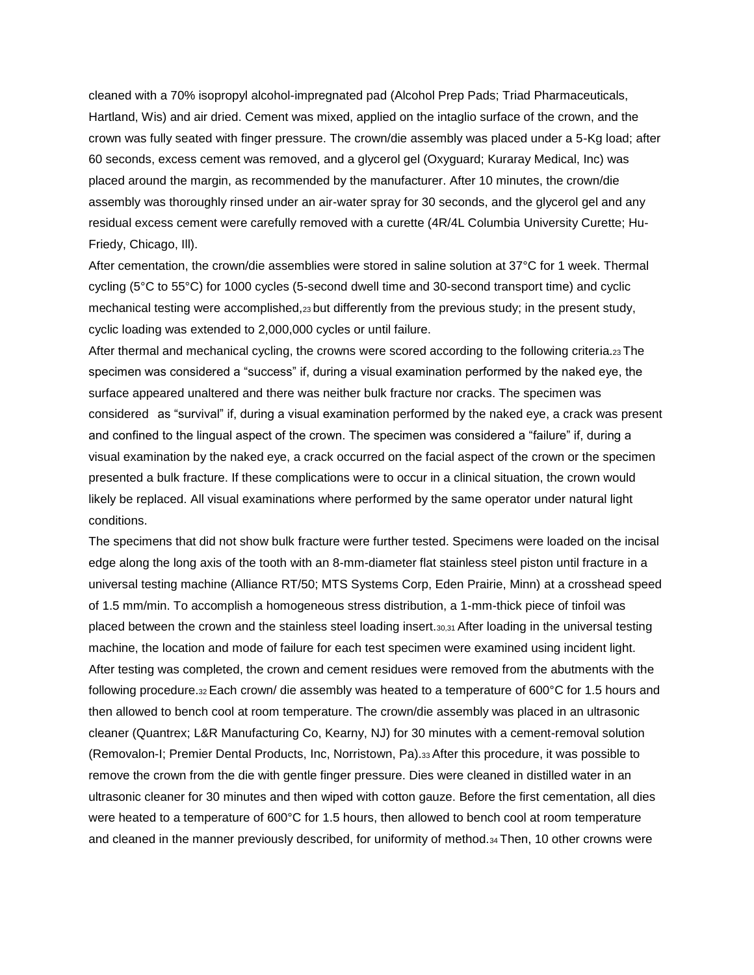cleaned with a 70% isopropyl alcohol-impregnated pad (Alcohol Prep Pads; Triad Pharmaceuticals, Hartland, Wis) and air dried. Cement was mixed, applied on the intaglio surface of the crown, and the crown was fully seated with finger pressure. The crown/die assembly was placed under a 5-Kg load; after 60 seconds, excess cement was removed, and a glycerol gel (Oxyguard; Kuraray Medical, Inc) was placed around the margin, as recommended by the manufacturer. After 10 minutes, the crown/die assembly was thoroughly rinsed under an air-water spray for 30 seconds, and the glycerol gel and any residual excess cement were carefully removed with a curette (4R/4L Columbia University Curette; Hu-Friedy, Chicago, Ill).

After cementation, the crown/die assemblies were stored in saline solution at 37°C for 1 week. Thermal cycling (5°C to 55°C) for 1000 cycles (5-second dwell time and 30-second transport time) and cyclic mechanical testing were accomplished,23 but differently from the previous study; in the present study, cyclic loading was extended to 2,000,000 cycles or until failure.

After thermal and mechanical cycling, the crowns were scored according to the following criteria.23 The specimen was considered a "success" if, during a visual examination performed by the naked eye, the surface appeared unaltered and there was neither bulk fracture nor cracks. The specimen was considered as "survival" if, during a visual examination performed by the naked eye, a crack was present and confined to the lingual aspect of the crown. The specimen was considered a "failure" if, during a visual examination by the naked eye, a crack occurred on the facial aspect of the crown or the specimen presented a bulk fracture. If these complications were to occur in a clinical situation, the crown would likely be replaced. All visual examinations where performed by the same operator under natural light conditions.

The specimens that did not show bulk fracture were further tested. Specimens were loaded on the incisal edge along the long axis of the tooth with an 8-mm-diameter flat stainless steel piston until fracture in a universal testing machine (Alliance RT/50; MTS Systems Corp, Eden Prairie, Minn) at a crosshead speed of 1.5 mm/min. To accomplish a homogeneous stress distribution, a 1-mm-thick piece of tinfoil was placed between the crown and the stainless steel loading insert.30,31 After loading in the universal testing machine, the location and mode of failure for each test specimen were examined using incident light. After testing was completed, the crown and cement residues were removed from the abutments with the following procedure.32 Each crown/ die assembly was heated to a temperature of 600°C for 1.5 hours and then allowed to bench cool at room temperature. The crown/die assembly was placed in an ultrasonic cleaner (Quantrex; L&R Manufacturing Co, Kearny, NJ) for 30 minutes with a cement-removal solution (Removalon-I; Premier Dental Products, Inc, Norristown, Pa).33 After this procedure, it was possible to remove the crown from the die with gentle finger pressure. Dies were cleaned in distilled water in an ultrasonic cleaner for 30 minutes and then wiped with cotton gauze. Before the first cementation, all dies were heated to a temperature of 600°C for 1.5 hours, then allowed to bench cool at room temperature and cleaned in the manner previously described, for uniformity of method.34 Then, 10 other crowns were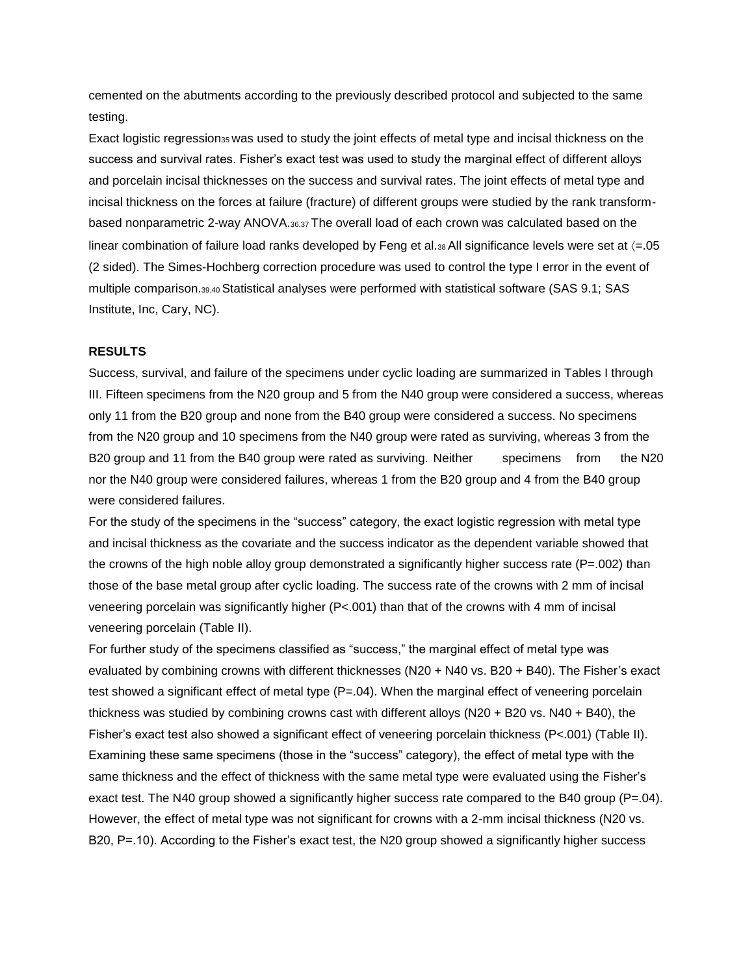cemented on the abutments according to the previously described protocol and subjected to the same testing.

Exact logistic regression<sub>35</sub> was used to study the joint effects of metal type and incisal thickness on the success and survival rates. Fisher's exact test was used to study the marginal effect of different alloys and porcelain incisal thicknesses on the success and survival rates. The joint effects of metal type and incisal thickness on the forces at failure (fracture) of different groups were studied by the rank transformbased nonparametric 2-way ANOVA.36,37 The overall load of each crown was calculated based on the linear combination of failure load ranks developed by Feng et al. $38$  All significance levels were set at  $\langle =.05$ (2 sided). The Simes-Hochberg correction procedure was used to control the type I error in the event of multiple comparison.39,40 Statistical analyses were performed with statistical software (SAS 9.1; SAS Institute, Inc, Cary, NC).

# **RESULTS**

Success, survival, and failure of the specimens under cyclic loading are summarized in Tables I through III. Fifteen specimens from the N20 group and 5 from the N40 group were considered a success, whereas only 11 from the B20 group and none from the B40 group were considered a success. No specimens from the N20 group and 10 specimens from the N40 group were rated as surviving, whereas 3 from the B20 group and 11 from the B40 group were rated as surviving. Neither specimens from the N20 nor the N40 group were considered failures, whereas 1 from the B20 group and 4 from the B40 group were considered failures.

For the study of the specimens in the "success" category, the exact logistic regression with metal type and incisal thickness as the covariate and the success indicator as the dependent variable showed that the crowns of the high noble alloy group demonstrated a significantly higher success rate ( $P=.002$ ) than those of the base metal group after cyclic loading. The success rate of the crowns with 2 mm of incisal veneering porcelain was significantly higher (P<.001) than that of the crowns with 4 mm of incisal veneering porcelain (Table II).

For further study of the specimens classified as "success," the marginal effect of metal type was evaluated by combining crowns with different thicknesses (N20 + N40 vs. B20 + B40). The Fisher's exact test showed a significant effect of metal type (P=.04). When the marginal effect of veneering porcelain thickness was studied by combining crowns cast with different alloys (N20 + B20 vs. N40 + B40), the Fisher's exact test also showed a significant effect of veneering porcelain thickness (P<.001) (Table II). Examining these same specimens (those in the "success" category), the effect of metal type with the same thickness and the effect of thickness with the same metal type were evaluated using the Fisher's exact test. The N40 group showed a significantly higher success rate compared to the B40 group (P=.04). However, the effect of metal type was not significant for crowns with a 2-mm incisal thickness (N20 vs. B20, P=.10). According to the Fisher's exact test, the N20 group showed a significantly higher success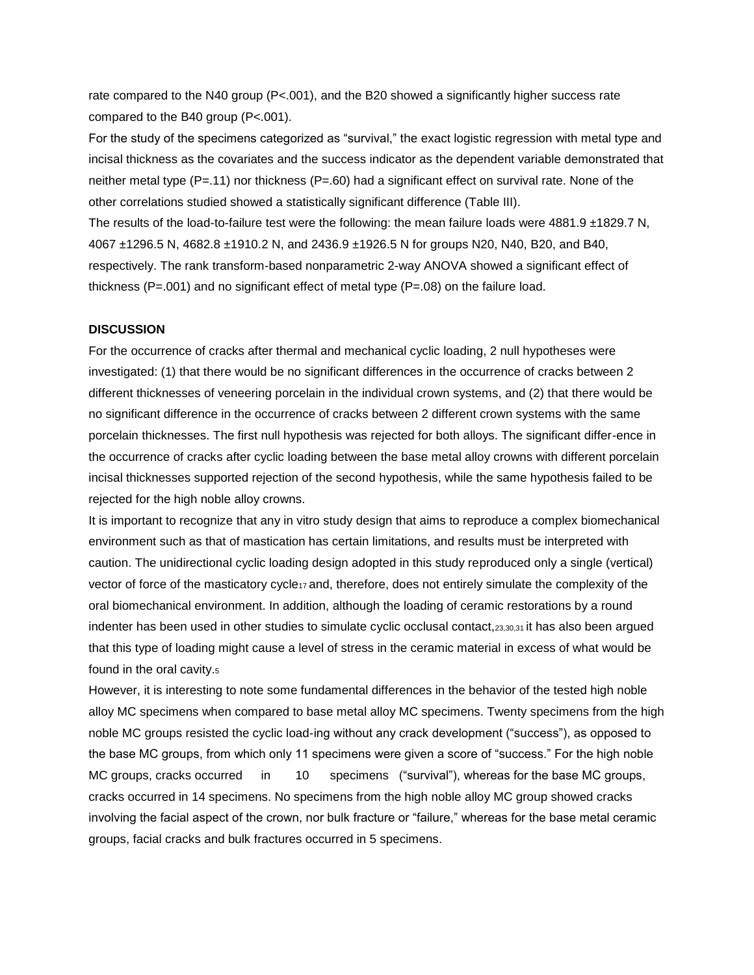rate compared to the N40 group (P<.001), and the B20 showed a significantly higher success rate compared to the B40 group (P<.001).

For the study of the specimens categorized as "survival," the exact logistic regression with metal type and incisal thickness as the covariates and the success indicator as the dependent variable demonstrated that neither metal type (P=.11) nor thickness (P=.60) had a significant effect on survival rate. None of the other correlations studied showed a statistically significant difference (Table III).

The results of the load-to-failure test were the following: the mean failure loads were 4881.9 ±1829.7 N, 4067 ±1296.5 N, 4682.8 ±1910.2 N, and 2436.9 ±1926.5 N for groups N20, N40, B20, and B40, respectively. The rank transform-based nonparametric 2-way ANOVA showed a significant effect of thickness ( $P = .001$ ) and no significant effect of metal type ( $P = .08$ ) on the failure load.

### **DISCUSSION**

For the occurrence of cracks after thermal and mechanical cyclic loading, 2 null hypotheses were investigated: (1) that there would be no significant differences in the occurrence of cracks between 2 different thicknesses of veneering porcelain in the individual crown systems, and (2) that there would be no significant difference in the occurrence of cracks between 2 different crown systems with the same porcelain thicknesses. The first null hypothesis was rejected for both alloys. The significant differ-ence in the occurrence of cracks after cyclic loading between the base metal alloy crowns with different porcelain incisal thicknesses supported rejection of the second hypothesis, while the same hypothesis failed to be rejected for the high noble alloy crowns.

It is important to recognize that any in vitro study design that aims to reproduce a complex biomechanical environment such as that of mastication has certain limitations, and results must be interpreted with caution. The unidirectional cyclic loading design adopted in this study reproduced only a single (vertical) vector of force of the masticatory cycle<sub>17</sub> and, therefore, does not entirely simulate the complexity of the oral biomechanical environment. In addition, although the loading of ceramic restorations by a round indenter has been used in other studies to simulate cyclic occlusal contact,23,30,31 it has also been argued that this type of loading might cause a level of stress in the ceramic material in excess of what would be found in the oral cavity.<sup>5</sup>

However, it is interesting to note some fundamental differences in the behavior of the tested high noble alloy MC specimens when compared to base metal alloy MC specimens. Twenty specimens from the high noble MC groups resisted the cyclic load-ing without any crack development ("success"), as opposed to the base MC groups, from which only 11 specimens were given a score of "success." For the high noble MC groups, cracks occurred in 10 specimens ("survival"), whereas for the base MC groups, cracks occurred in 14 specimens. No specimens from the high noble alloy MC group showed cracks involving the facial aspect of the crown, nor bulk fracture or "failure," whereas for the base metal ceramic groups, facial cracks and bulk fractures occurred in 5 specimens.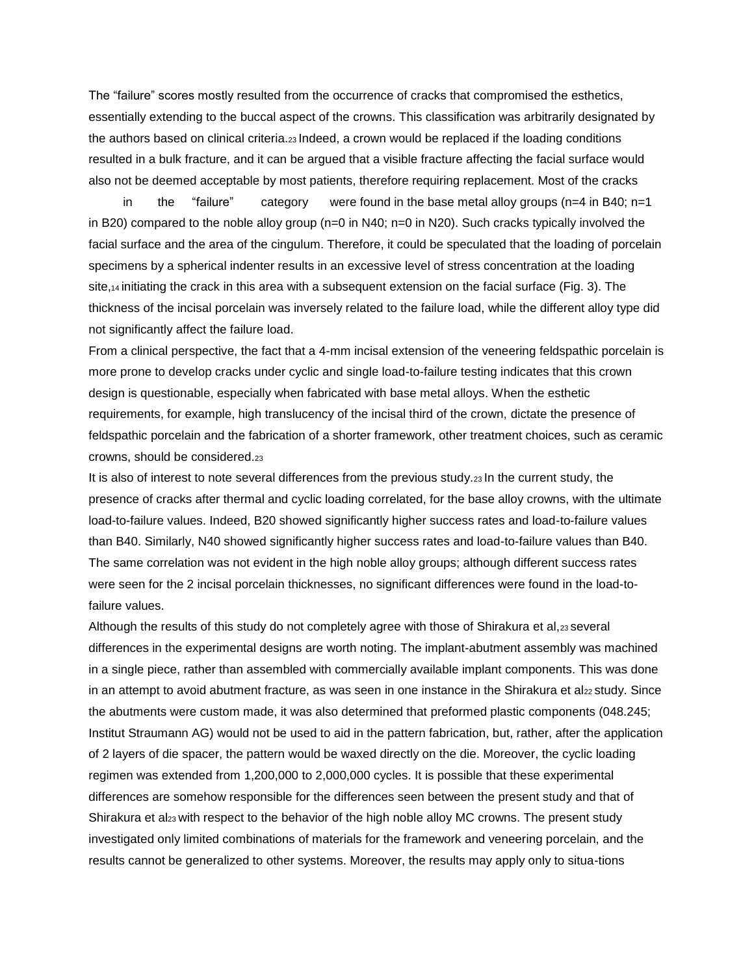The "failure" scores mostly resulted from the occurrence of cracks that compromised the esthetics, essentially extending to the buccal aspect of the crowns. This classification was arbitrarily designated by the authors based on clinical criteria.23 Indeed, a crown would be replaced if the loading conditions resulted in a bulk fracture, and it can be argued that a visible fracture affecting the facial surface would also not be deemed acceptable by most patients, therefore requiring replacement. Most of the cracks

in the "failure" category were found in the base metal alloy groups ( $n=4$  in B40;  $n=1$ in B20) compared to the noble alloy group (n=0 in N40; n=0 in N20). Such cracks typically involved the facial surface and the area of the cingulum. Therefore, it could be speculated that the loading of porcelain specimens by a spherical indenter results in an excessive level of stress concentration at the loading site,14 initiating the crack in this area with a subsequent extension on the facial surface (Fig. 3). The thickness of the incisal porcelain was inversely related to the failure load, while the different alloy type did not significantly affect the failure load.

From a clinical perspective, the fact that a 4-mm incisal extension of the veneering feldspathic porcelain is more prone to develop cracks under cyclic and single load-to-failure testing indicates that this crown design is questionable, especially when fabricated with base metal alloys. When the esthetic requirements, for example, high translucency of the incisal third of the crown, dictate the presence of feldspathic porcelain and the fabrication of a shorter framework, other treatment choices, such as ceramic crowns, should be considered.<sup>23</sup>

It is also of interest to note several differences from the previous study.23 In the current study, the presence of cracks after thermal and cyclic loading correlated, for the base alloy crowns, with the ultimate load-to-failure values. Indeed, B20 showed significantly higher success rates and load-to-failure values than B40. Similarly, N40 showed significantly higher success rates and load-to-failure values than B40. The same correlation was not evident in the high noble alloy groups; although different success rates were seen for the 2 incisal porcelain thicknesses, no significant differences were found in the load-tofailure values.

Although the results of this study do not completely agree with those of Shirakura et al,23 several differences in the experimental designs are worth noting. The implant-abutment assembly was machined in a single piece, rather than assembled with commercially available implant components. This was done in an attempt to avoid abutment fracture, as was seen in one instance in the Shirakura et al22 study. Since the abutments were custom made, it was also determined that preformed plastic components (048.245; Institut Straumann AG) would not be used to aid in the pattern fabrication, but, rather, after the application of 2 layers of die spacer, the pattern would be waxed directly on the die. Moreover, the cyclic loading regimen was extended from 1,200,000 to 2,000,000 cycles. It is possible that these experimental differences are somehow responsible for the differences seen between the present study and that of Shirakura et al<sub>23</sub> with respect to the behavior of the high noble alloy MC crowns. The present study investigated only limited combinations of materials for the framework and veneering porcelain, and the results cannot be generalized to other systems. Moreover, the results may apply only to situa-tions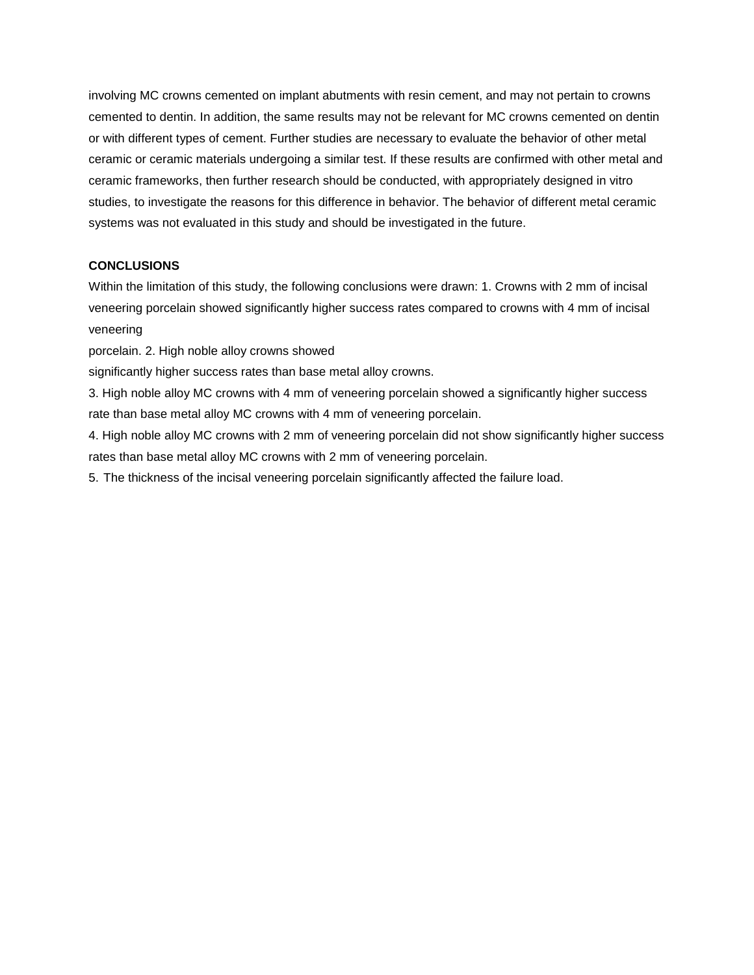involving MC crowns cemented on implant abutments with resin cement, and may not pertain to crowns cemented to dentin. In addition, the same results may not be relevant for MC crowns cemented on dentin or with different types of cement. Further studies are necessary to evaluate the behavior of other metal ceramic or ceramic materials undergoing a similar test. If these results are confirmed with other metal and ceramic frameworks, then further research should be conducted, with appropriately designed in vitro studies, to investigate the reasons for this difference in behavior. The behavior of different metal ceramic systems was not evaluated in this study and should be investigated in the future.

## **CONCLUSIONS**

Within the limitation of this study, the following conclusions were drawn: 1. Crowns with 2 mm of incisal veneering porcelain showed significantly higher success rates compared to crowns with 4 mm of incisal veneering

porcelain. 2. High noble alloy crowns showed

significantly higher success rates than base metal alloy crowns.

3. High noble alloy MC crowns with 4 mm of veneering porcelain showed a significantly higher success rate than base metal alloy MC crowns with 4 mm of veneering porcelain.

4. High noble alloy MC crowns with 2 mm of veneering porcelain did not show significantly higher success rates than base metal alloy MC crowns with 2 mm of veneering porcelain.

5. The thickness of the incisal veneering porcelain significantly affected the failure load.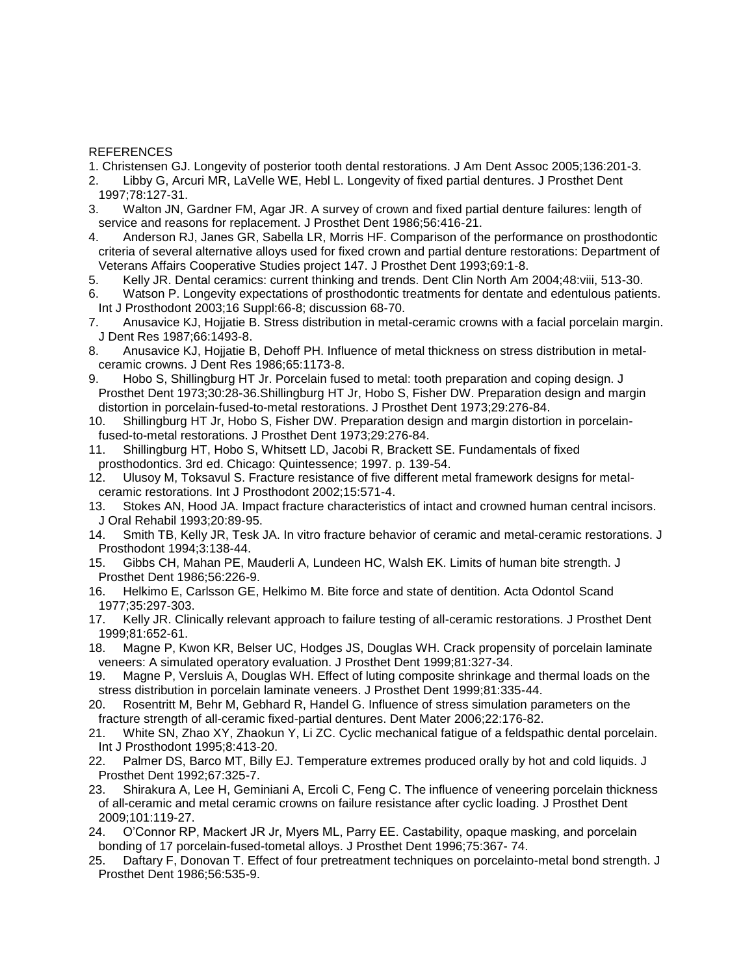### REFERENCES

- 1. Christensen GJ. Longevity of posterior tooth dental restorations. J Am Dent Assoc 2005;136:201-3.
- 2. Libby G, Arcuri MR, LaVelle WE, Hebl L. Longevity of fixed partial dentures. J Prosthet Dent 1997;78:127-31.
- 3. Walton JN, Gardner FM, Agar JR. A survey of crown and fixed partial denture failures: length of service and reasons for replacement. J Prosthet Dent 1986;56:416-21.
- 4. Anderson RJ, Janes GR, Sabella LR, Morris HF. Comparison of the performance on prosthodontic criteria of several alternative alloys used for fixed crown and partial denture restorations: Department of Veterans Affairs Cooperative Studies project 147. J Prosthet Dent 1993;69:1-8.
- 5. Kelly JR. Dental ceramics: current thinking and trends. Dent Clin North Am 2004;48:viii, 513-30.
- 6. Watson P. Longevity expectations of prosthodontic treatments for dentate and edentulous patients. Int J Prosthodont 2003;16 Suppl:66-8; discussion 68-70.
- 7. Anusavice KJ, Hojjatie B. Stress distribution in metal-ceramic crowns with a facial porcelain margin. J Dent Res 1987;66:1493-8.
- 8. Anusavice KJ, Hojjatie B, Dehoff PH. Influence of metal thickness on stress distribution in metalceramic crowns. J Dent Res 1986;65:1173-8.
- 9. Hobo S, Shillingburg HT Jr. Porcelain fused to metal: tooth preparation and coping design. J Prosthet Dent 1973;30:28-36.Shillingburg HT Jr, Hobo S, Fisher DW. Preparation design and margin distortion in porcelain-fused-to-metal restorations. J Prosthet Dent 1973;29:276-84.
- 10. Shillingburg HT Jr, Hobo S, Fisher DW. Preparation design and margin distortion in porcelainfused-to-metal restorations. J Prosthet Dent 1973;29:276-84.
- 11. Shillingburg HT, Hobo S, Whitsett LD, Jacobi R, Brackett SE. Fundamentals of fixed prosthodontics. 3rd ed. Chicago: Quintessence; 1997. p. 139-54.
- 12. Ulusoy M, Toksavul S. Fracture resistance of five different metal framework designs for metalceramic restorations. Int J Prosthodont 2002;15:571-4.
- 13. Stokes AN, Hood JA. Impact fracture characteristics of intact and crowned human central incisors. J Oral Rehabil 1993;20:89-95.
- 14. Smith TB, Kelly JR, Tesk JA. In vitro fracture behavior of ceramic and metal-ceramic restorations. J Prosthodont 1994;3:138-44.
- 15. Gibbs CH, Mahan PE, Mauderli A, Lundeen HC, Walsh EK. Limits of human bite strength. J Prosthet Dent 1986;56:226-9.
- 16. Helkimo E, Carlsson GE, Helkimo M. Bite force and state of dentition. Acta Odontol Scand 1977;35:297-303.
- 17. Kelly JR. Clinically relevant approach to failure testing of all-ceramic restorations. J Prosthet Dent 1999;81:652-61.
- 18. Magne P, Kwon KR, Belser UC, Hodges JS, Douglas WH. Crack propensity of porcelain laminate veneers: A simulated operatory evaluation. J Prosthet Dent 1999;81:327-34.
- 19. Magne P, Versluis A, Douglas WH. Effect of luting composite shrinkage and thermal loads on the stress distribution in porcelain laminate veneers. J Prosthet Dent 1999;81:335-44.
- 20. Rosentritt M, Behr M, Gebhard R, Handel G. Influence of stress simulation parameters on the fracture strength of all-ceramic fixed-partial dentures. Dent Mater 2006;22:176-82.
- 21. White SN, Zhao XY, Zhaokun Y, Li ZC. Cyclic mechanical fatigue of a feldspathic dental porcelain. Int J Prosthodont 1995;8:413-20.
- 22. Palmer DS, Barco MT, Billy EJ. Temperature extremes produced orally by hot and cold liquids. J Prosthet Dent 1992;67:325-7.
- 23. Shirakura A, Lee H, Geminiani A, Ercoli C, Feng C. The influence of veneering porcelain thickness of all-ceramic and metal ceramic crowns on failure resistance after cyclic loading. J Prosthet Dent 2009;101:119-27.
- 24. O'Connor RP, Mackert JR Jr, Myers ML, Parry EE. Castability, opaque masking, and porcelain bonding of 17 porcelain-fused-tometal alloys. J Prosthet Dent 1996;75:367- 74.
- 25. Daftary F, Donovan T. Effect of four pretreatment techniques on porcelainto-metal bond strength. J Prosthet Dent 1986;56:535-9.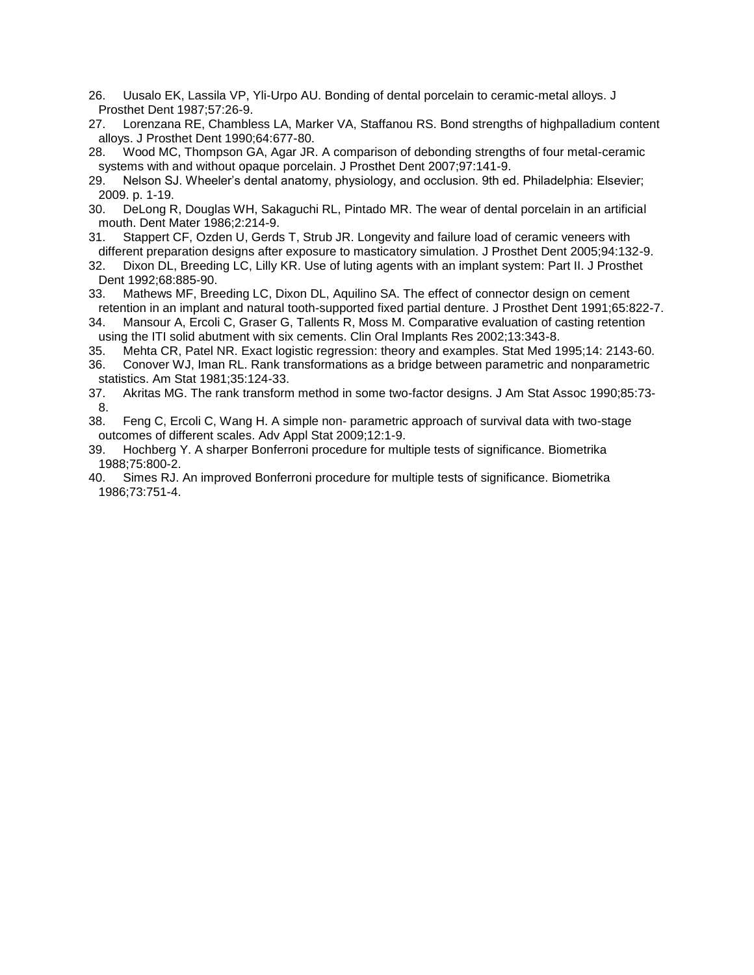- 26. Uusalo EK, Lassila VP, Yli-Urpo AU. Bonding of dental porcelain to ceramic-metal alloys. J Prosthet Dent 1987;57:26-9.
- 27. Lorenzana RE, Chambless LA, Marker VA, Staffanou RS. Bond strengths of highpalladium content alloys. J Prosthet Dent 1990;64:677-80.
- 28. Wood MC, Thompson GA, Agar JR. A comparison of debonding strengths of four metal-ceramic systems with and without opaque porcelain. J Prosthet Dent 2007;97:141-9.
- 29. Nelson SJ. Wheeler's dental anatomy, physiology, and occlusion. 9th ed. Philadelphia: Elsevier; 2009. p. 1-19.
- 30. DeLong R, Douglas WH, Sakaguchi RL, Pintado MR. The wear of dental porcelain in an artificial mouth. Dent Mater 1986;2:214-9.
- 31. Stappert CF, Ozden U, Gerds T, Strub JR. Longevity and failure load of ceramic veneers with different preparation designs after exposure to masticatory simulation. J Prosthet Dent 2005;94:132-9.
- 32. Dixon DL, Breeding LC, Lilly KR. Use of luting agents with an implant system: Part II. J Prosthet Dent 1992;68:885-90.
- 33. Mathews MF, Breeding LC, Dixon DL, Aquilino SA. The effect of connector design on cement retention in an implant and natural tooth-supported fixed partial denture. J Prosthet Dent 1991;65:822-7.
- 34. Mansour A, Ercoli C, Graser G, Tallents R, Moss M. Comparative evaluation of casting retention using the ITI solid abutment with six cements. Clin Oral Implants Res 2002;13:343-8.
- 35. Mehta CR, Patel NR. Exact logistic regression: theory and examples. Stat Med 1995;14: 2143-60.
- 36. Conover WJ, Iman RL. Rank transformations as a bridge between parametric and nonparametric statistics. Am Stat 1981;35:124-33.
- 37. Akritas MG. The rank transform method in some two-factor designs. J Am Stat Assoc 1990;85:73- 8.
- 38. Feng C, Ercoli C, Wang H. A simple non- parametric approach of survival data with two-stage outcomes of different scales. Adv Appl Stat 2009;12:1-9.
- 39. Hochberg Y. A sharper Bonferroni procedure for multiple tests of significance. Biometrika 1988;75:800-2.
- 40. Simes RJ. An improved Bonferroni procedure for multiple tests of significance. Biometrika 1986;73:751-4.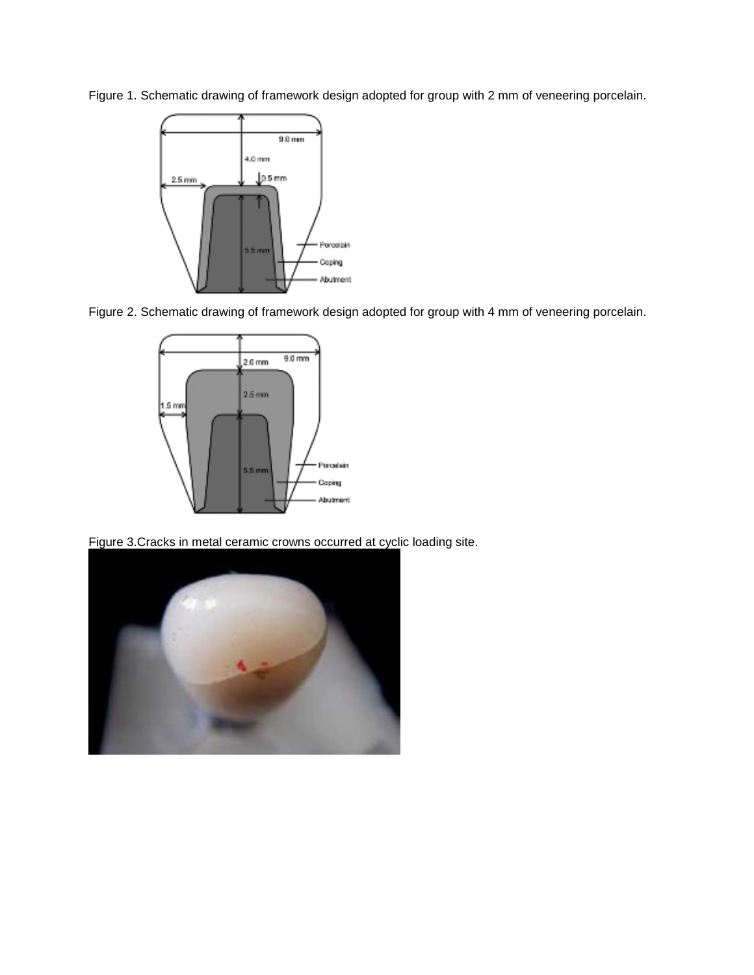Figure 1. Schematic drawing of framework design adopted for group with 2 mm of veneering porcelain.







Figure 3.Cracks in metal ceramic crowns occurred at cyclic loading site.

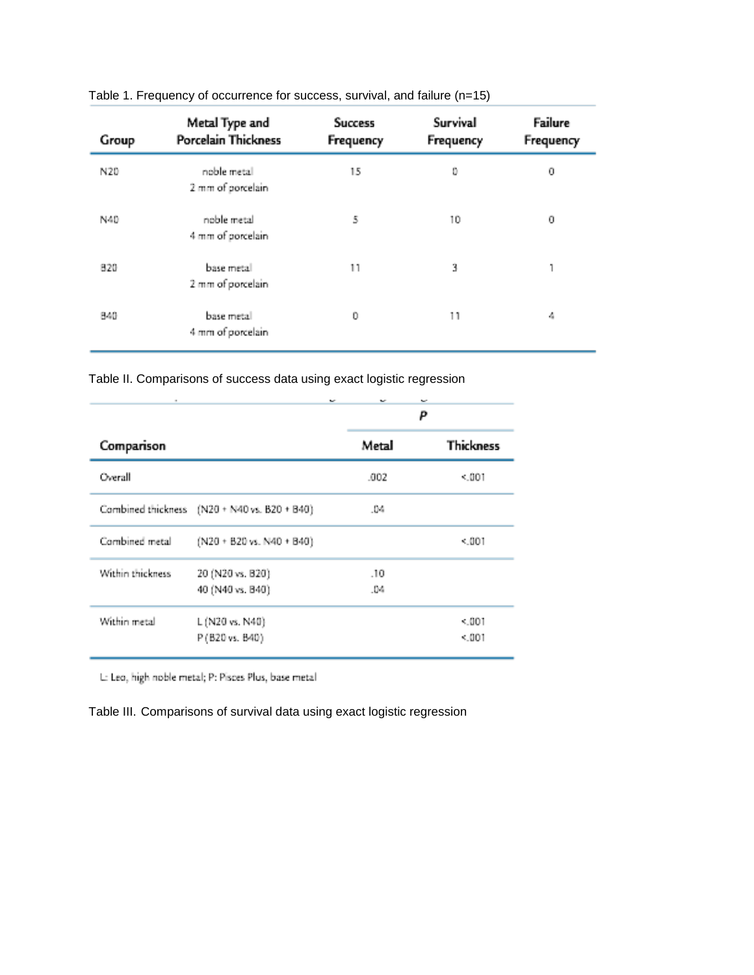| Group | Metal Type and<br>Porcelain Thickness | <b>Success</b><br>Frequency | Survival<br>Frequency | Failure<br>Frequency |
|-------|---------------------------------------|-----------------------------|-----------------------|----------------------|
| N20   | noble metal<br>2 mm of porcelain      | 15                          | 0                     | 0                    |
| N40   | noble metal<br>4 mm of porcelain      | 5                           | 10                    | 0                    |
| 820   | base metal<br>2 mm of porcelain       | 11                          | 3                     |                      |
| 840   | base metal<br>4 mm of porcelain       | 0                           | 11                    | 4                    |

Table 1. Frequency of occurrence for success, survival, and failure (n=15)

Table II. Comparisons of success data using exact logistic regression

| ٠                | w                                            | w        | w<br>P           |
|------------------|----------------------------------------------|----------|------------------|
| Comparison       |                                              | Metal    | <b>Thickness</b> |
| Overall          |                                              | .002     | < 001            |
|                  | Combined thickness (N20 + N40 vs. B20 + B40) | .04      |                  |
| Combined metal   | (N20 + B20 vs. N40 + B40)                    |          | < 001            |
| Within thickness | 20 (N20 vs. B20)                             | .10      |                  |
|                  | 40 (N40 vs. 840)                             | $10 - 6$ |                  |
| Within metal     | L (N20 vs. N40)                              |          | < 001            |
|                  | P (B20 vs. B40)                              |          | < 001            |

L: Leo, high noble metal; P: Pisces Plus, base metal

Table III. Comparisons of survival data using exact logistic regression